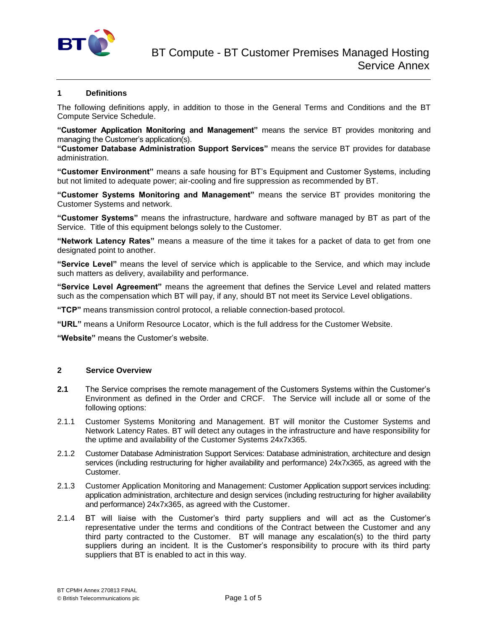

# **1 Definitions**

The following definitions apply, in addition to those in the General Terms and Conditions and the BT Compute Service Schedule.

**"Customer Application Monitoring and Management"** means the service BT provides monitoring and managing the Customer's application(s).

**"Customer Database Administration Support Services"** means the service BT provides for database administration.

**"Customer Environment"** means a safe housing for BT's Equipment and Customer Systems, including but not limited to adequate power; air-cooling and fire suppression as recommended by BT.

**"Customer Systems Monitoring and Management"** means the service BT provides monitoring the Customer Systems and network.

**"Customer Systems"** means the infrastructure, hardware and software managed by BT as part of the Service. Title of this equipment belongs solely to the Customer.

**"Network Latency Rates"** means a measure of the time it takes for a packet of data to get from one designated point to another.

**"Service Level"** means the level of service which is applicable to the Service, and which may include such matters as delivery, availability and performance.

**"Service Level Agreement"** means the agreement that defines the Service Level and related matters such as the compensation which BT will pay, if any, should BT not meet its Service Level obligations.

**"TCP"** means transmission control protocol, a reliable connection-based protocol.

**"URL"** means a Uniform Resource Locator, which is the full address for the Customer Website.

**"Website"** means the Customer's website.

### **2 Service Overview**

- **2.1** The Service comprises the remote management of the Customers Systems within the Customer's Environment as defined in the Order and CRCF. The Service will include all or some of the following options:
- 2.1.1 Customer Systems Monitoring and Management. BT will monitor the Customer Systems and Network Latency Rates. BT will detect any outages in the infrastructure and have responsibility for the uptime and availability of the Customer Systems 24x7x365.
- 2.1.2 Customer Database Administration Support Services: Database administration, architecture and design services (including restructuring for higher availability and performance) 24x7x365, as agreed with the Customer.
- 2.1.3 Customer Application Monitoring and Management: Customer Application support services including: application administration, architecture and design services (including restructuring for higher availability and performance) 24x7x365, as agreed with the Customer.
- 2.1.4 BT will liaise with the Customer's third party suppliers and will act as the Customer's representative under the terms and conditions of the Contract between the Customer and any third party contracted to the Customer. BT will manage any escalation(s) to the third party suppliers during an incident. It is the Customer's responsibility to procure with its third party suppliers that BT is enabled to act in this way.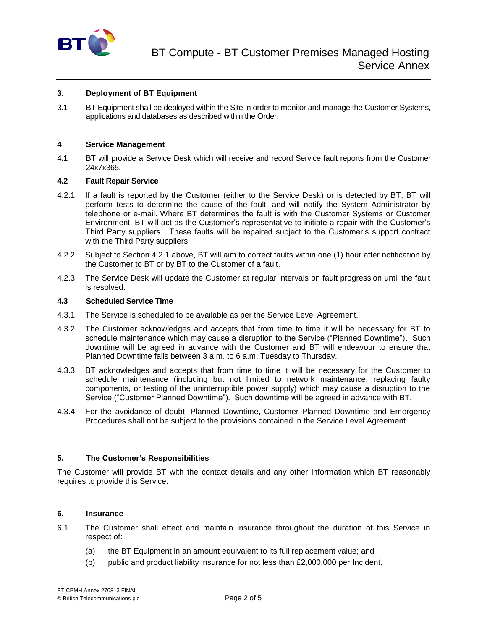

### **3. Deployment of BT Equipment**

3.1 BT Equipment shall be deployed within the Site in order to monitor and manage the Customer Systems, applications and databases as described within the Order.

### **4 Service Management**

4.1 BT will provide a Service Desk which will receive and record Service fault reports from the Customer 24x7x365.

#### **4.2 Fault Repair Service**

- 4.2.1 If a fault is reported by the Customer (either to the Service Desk) or is detected by BT, BT will perform tests to determine the cause of the fault, and will notify the System Administrator by telephone or e-mail. Where BT determines the fault is with the Customer Systems or Customer Environment, BT will act as the Customer's representative to initiate a repair with the Customer's Third Party suppliers. These faults will be repaired subject to the Customer's support contract with the Third Party suppliers.
- 4.2.2 Subject to Section 4.2.1 above, BT will aim to correct faults within one (1) hour after notification by the Customer to BT or by BT to the Customer of a fault.
- 4.2.3 The Service Desk will update the Customer at regular intervals on fault progression until the fault is resolved.

#### **4.3 Scheduled Service Time**

- 4.3.1 The Service is scheduled to be available as per the Service Level Agreement.
- 4.3.2 The Customer acknowledges and accepts that from time to time it will be necessary for BT to schedule maintenance which may cause a disruption to the Service ("Planned Downtime"). Such downtime will be agreed in advance with the Customer and BT will endeavour to ensure that Planned Downtime falls between 3 a.m. to 6 a.m. Tuesday to Thursday.
- 4.3.3 BT acknowledges and accepts that from time to time it will be necessary for the Customer to schedule maintenance (including but not limited to network maintenance, replacing faulty components, or testing of the uninterruptible power supply) which may cause a disruption to the Service ("Customer Planned Downtime"). Such downtime will be agreed in advance with BT.
- 4.3.4 For the avoidance of doubt, Planned Downtime, Customer Planned Downtime and Emergency Procedures shall not be subject to the provisions contained in the Service Level Agreement.

#### **5. The Customer's Responsibilities**

The Customer will provide BT with the contact details and any other information which BT reasonably requires to provide this Service.

#### **6. Insurance**

- 6.1 The Customer shall effect and maintain insurance throughout the duration of this Service in respect of:
	- (a) the BT Equipment in an amount equivalent to its full replacement value; and
	- (b) public and product liability insurance for not less than £2,000,000 per Incident.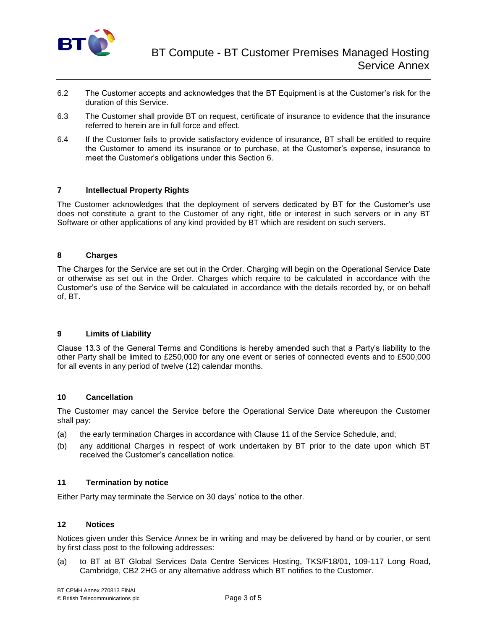

- 6.2 The Customer accepts and acknowledges that the BT Equipment is at the Customer's risk for the duration of this Service.
- 6.3 The Customer shall provide BT on request, certificate of insurance to evidence that the insurance referred to herein are in full force and effect.
- 6.4 If the Customer fails to provide satisfactory evidence of insurance, BT shall be entitled to require the Customer to amend its insurance or to purchase, at the Customer's expense, insurance to meet the Customer's obligations under this Section 6.

# **7 Intellectual Property Rights**

The Customer acknowledges that the deployment of servers dedicated by BT for the Customer's use does not constitute a grant to the Customer of any right, title or interest in such servers or in any BT Software or other applications of any kind provided by BT which are resident on such servers.

# **8 Charges**

The Charges for the Service are set out in the Order. Charging will begin on the Operational Service Date or otherwise as set out in the Order. Charges which require to be calculated in accordance with the Customer's use of the Service will be calculated in accordance with the details recorded by, or on behalf of, BT.

# **9 Limits of Liability**

Clause 13.3 of the General Terms and Conditions is hereby amended such that a Party's liability to the other Party shall be limited to £250,000 for any one event or series of connected events and to £500,000 for all events in any period of twelve (12) calendar months.

# **10 Cancellation**

The Customer may cancel the Service before the Operational Service Date whereupon the Customer shall pay:

- (a) the early termination Charges in accordance with Clause 11 of the Service Schedule, and;
- (b) any additional Charges in respect of work undertaken by BT prior to the date upon which BT received the Customer's cancellation notice.

# **11 Termination by notice**

Either Party may terminate the Service on 30 days' notice to the other.

# **12 Notices**

Notices given under this Service Annex be in writing and may be delivered by hand or by courier, or sent by first class post to the following addresses:

(a) to BT at BT Global Services Data Centre Services Hosting, TKS/F18/01, 109-117 Long Road, Cambridge, CB2 2HG or any alternative address which BT notifies to the Customer.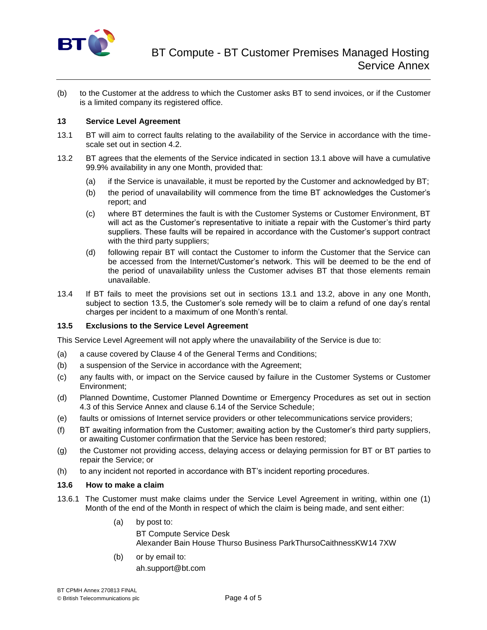

(b) to the Customer at the address to which the Customer asks BT to send invoices, or if the Customer is a limited company its registered office.

# **13 Service Level Agreement**

- 13.1 BT will aim to correct faults relating to the availability of the Service in accordance with the timescale set out in section 4.2.
- 13.2 BT agrees that the elements of the Service indicated in section 13.1 above will have a cumulative 99.9% availability in any one Month, provided that:
	- (a) if the Service is unavailable, it must be reported by the Customer and acknowledged by BT;
	- (b) the period of unavailability will commence from the time BT acknowledges the Customer's report; and
	- (c) where BT determines the fault is with the Customer Systems or Customer Environment, BT will act as the Customer's representative to initiate a repair with the Customer's third party suppliers. These faults will be repaired in accordance with the Customer's support contract with the third party suppliers;
	- (d) following repair BT will contact the Customer to inform the Customer that the Service can be accessed from the Internet/Customer's network. This will be deemed to be the end of the period of unavailability unless the Customer advises BT that those elements remain unavailable.
- 13.4 If BT fails to meet the provisions set out in sections 13.1 and 13.2, above in any one Month, subject to section 13.5, the Customer's sole remedy will be to claim a refund of one day's rental charges per incident to a maximum of one Month's rental.

#### **13.5 Exclusions to the Service Level Agreement**

This Service Level Agreement will not apply where the unavailability of the Service is due to:

- (a) a cause covered by Clause 4 of the General Terms and Conditions;
- (b) a suspension of the Service in accordance with the Agreement;
- (c) any faults with, or impact on the Service caused by failure in the Customer Systems or Customer Environment;
- (d) Planned Downtime, Customer Planned Downtime or Emergency Procedures as set out in section 4.3 of this Service Annex and clause 6.14 of the Service Schedule;
- (e) faults or omissions of Internet service providers or other telecommunications service providers;
- (f) BT awaiting information from the Customer; awaiting action by the Customer's third party suppliers, or awaiting Customer confirmation that the Service has been restored;
- (g) the Customer not providing access, delaying access or delaying permission for BT or BT parties to repair the Service; or
- (h) to any incident not reported in accordance with BT's incident reporting procedures.

#### **13.6 How to make a claim**

- 13.6.1 The Customer must make claims under the Service Level Agreement in writing, within one (1) Month of the end of the Month in respect of which the claim is being made, and sent either:
	- (a) by post to:

BT Compute Service Desk Alexander Bain House Thurso Business ParkThursoCaithnessKW14 7XW

(b) or by email to: ah.support@bt.com